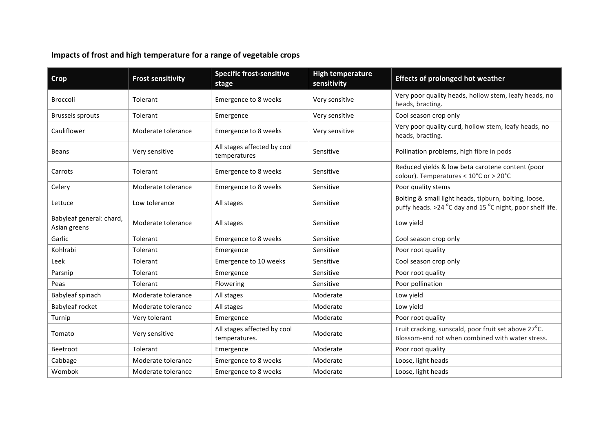## Impacts of frost and high temperature for a range of vegetable crops

| Crop                                     | <b>Frost sensitivity</b> | <b>Specific frost-sensitive</b><br>stage     | <b>High temperature</b><br>sensitivity | <b>Effects of prolonged hot weather</b>                                                                            |
|------------------------------------------|--------------------------|----------------------------------------------|----------------------------------------|--------------------------------------------------------------------------------------------------------------------|
| <b>Broccoli</b>                          | Tolerant                 | Emergence to 8 weeks                         | Very sensitive                         | Very poor quality heads, hollow stem, leafy heads, no<br>heads, bracting.                                          |
| <b>Brussels sprouts</b>                  | Tolerant                 | Emergence                                    | Very sensitive                         | Cool season crop only                                                                                              |
| Cauliflower                              | Moderate tolerance       | Emergence to 8 weeks                         | Very sensitive                         | Very poor quality curd, hollow stem, leafy heads, no<br>heads, bracting.                                           |
| <b>Beans</b>                             | Very sensitive           | All stages affected by cool<br>temperatures  | Sensitive                              | Pollination problems, high fibre in pods                                                                           |
| Carrots                                  | Tolerant                 | Emergence to 8 weeks                         | Sensitive                              | Reduced yields & low beta carotene content (poor<br>colour). Temperatures < 10°C or > 20°C                         |
| Celery                                   | Moderate tolerance       | Emergence to 8 weeks                         | Sensitive                              | Poor quality stems                                                                                                 |
| Lettuce                                  | Low tolerance            | All stages                                   | Sensitive                              | Bolting & small light heads, tipburn, bolting, loose,<br>puffy heads. >24 °C day and 15 °C night, poor shelf life. |
| Babyleaf general: chard,<br>Asian greens | Moderate tolerance       | All stages                                   | Sensitive                              | Low yield                                                                                                          |
| Garlic                                   | Tolerant                 | Emergence to 8 weeks                         | Sensitive                              | Cool season crop only                                                                                              |
| Kohlrabi                                 | Tolerant                 | Emergence                                    | Sensitive                              | Poor root quality                                                                                                  |
| Leek                                     | Tolerant                 | Emergence to 10 weeks                        | Sensitive                              | Cool season crop only                                                                                              |
| Parsnip                                  | Tolerant                 | Emergence                                    | Sensitive                              | Poor root quality                                                                                                  |
| Peas                                     | Tolerant                 | Flowering                                    | Sensitive                              | Poor pollination                                                                                                   |
| Babyleaf spinach                         | Moderate tolerance       | All stages                                   | Moderate                               | Low yield                                                                                                          |
| Babyleaf rocket                          | Moderate tolerance       | All stages                                   | Moderate                               | Low yield                                                                                                          |
| Turnip                                   | Very tolerant            | Emergence                                    | Moderate                               | Poor root quality                                                                                                  |
| Tomato                                   | Very sensitive           | All stages affected by cool<br>temperatures. | Moderate                               | Fruit cracking, sunscald, poor fruit set above 27°C.<br>Blossom-end rot when combined with water stress.           |
| Beetroot                                 | Tolerant                 | Emergence                                    | Moderate                               | Poor root quality                                                                                                  |
| Cabbage                                  | Moderate tolerance       | Emergence to 8 weeks                         | Moderate                               | Loose, light heads                                                                                                 |
| Wombok                                   | Moderate tolerance       | Emergence to 8 weeks                         | Moderate                               | Loose, light heads                                                                                                 |